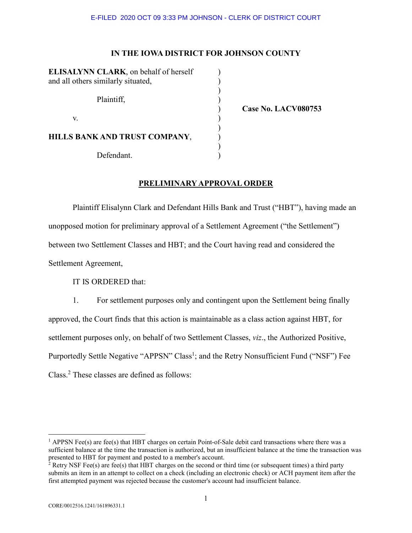# **IN THE IOWA DISTRICT FOR JOHNSON COUNTY**

| <b>ELISALYNN CLARK</b> , on behalf of herself<br>and all others similarly situated, |  |
|-------------------------------------------------------------------------------------|--|
| Plaintiff,                                                                          |  |
| V.                                                                                  |  |
| HILLS BANK AND TRUST COMPANY,                                                       |  |
| Defendant.                                                                          |  |

) **Case No. LACV080753**

# **PRELIMINARY APPROVAL ORDER**

 Plaintiff Elisalynn Clark and Defendant Hills Bank and Trust ("HBT"), having made an unopposed motion for preliminary approval of a Settlement Agreement ("the Settlement") between two Settlement Classes and HBT; and the Court having read and considered the Settlement Agreement,

IT IS ORDERED that:

1. For settlement purposes only and contingent upon the Settlement being finally approved, the Court finds that this action is maintainable as a class action against HBT, for settlement purposes only, on behalf of two Settlement Classes, *viz*., the Authorized Positive, Purportedly Settle Negative "APPSN" Class<sup>1</sup>; and the Retry Nonsufficient Fund ("NSF") Fee Class.<sup>2</sup> These classes are defined as follows:

l

<sup>&</sup>lt;sup>1</sup> APPSN Fee(s) are fee(s) that HBT charges on certain Point-of-Sale debit card transactions where there was a sufficient balance at the time the transaction is authorized, but an insufficient balance at the time the transaction was

presented to HBT for payment and posted to a member's account.<br><sup>2</sup> Retry NSF Fee(s) are fee(s) that HBT charges on the second or third time (or subsequent times) a third party submits an item in an attempt to collect on a check (including an electronic check) or ACH payment item after the first attempted payment was rejected because the customer's account had insufficient balance.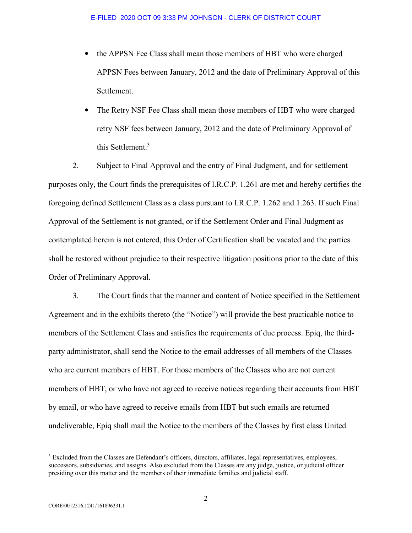- the APPSN Fee Class shall mean those members of HBT who were charged APPSN Fees between January, 2012 and the date of Preliminary Approval of this Settlement.
- The Retry NSF Fee Class shall mean those members of HBT who were charged retry NSF fees between January, 2012 and the date of Preliminary Approval of this Settlement.<sup>3</sup>

2. Subject to Final Approval and the entry of Final Judgment, and for settlement purposes only, the Court finds the prerequisites of I.R.C.P. 1.261 are met and hereby certifies the foregoing defined Settlement Class as a class pursuant to I.R.C.P. 1.262 and 1.263. If such Final Approval of the Settlement is not granted, or if the Settlement Order and Final Judgment as contemplated herein is not entered, this Order of Certification shall be vacated and the parties shall be restored without prejudice to their respective litigation positions prior to the date of this Order of Preliminary Approval.

3. The Court finds that the manner and content of Notice specified in the Settlement Agreement and in the exhibits thereto (the "Notice") will provide the best practicable notice to members of the Settlement Class and satisfies the requirements of due process. Epiq, the thirdparty administrator, shall send the Notice to the email addresses of all members of the Classes who are current members of HBT. For those members of the Classes who are not current members of HBT, or who have not agreed to receive notices regarding their accounts from HBT by email, or who have agreed to receive emails from HBT but such emails are returned undeliverable, Epiq shall mail the Notice to the members of the Classes by first class United

 $\overline{a}$ 

<sup>&</sup>lt;sup>3</sup> Excluded from the Classes are Defendant's officers, directors, affiliates, legal representatives, employees, successors, subsidiaries, and assigns. Also excluded from the Classes are any judge, justice, or judicial officer presiding over this matter and the members of their immediate families and judicial staff.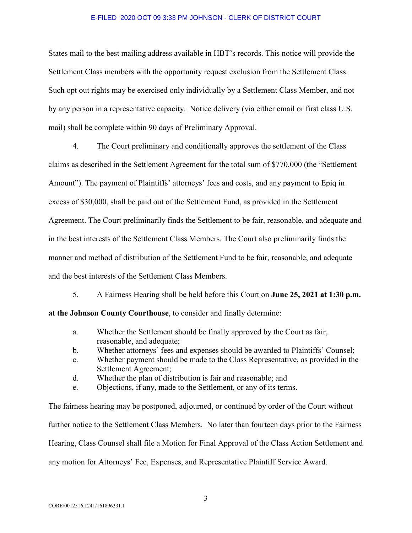States mail to the best mailing address available in HBT's records. This notice will provide the Settlement Class members with the opportunity request exclusion from the Settlement Class. Such opt out rights may be exercised only individually by a Settlement Class Member, and not by any person in a representative capacity. Notice delivery (via either email or first class U.S. mail) shall be complete within 90 days of Preliminary Approval.

4. The Court preliminary and conditionally approves the settlement of the Class claims as described in the Settlement Agreement for the total sum of \$770,000 (the "Settlement Amount"). The payment of Plaintiffs' attorneys' fees and costs, and any payment to Epiq in excess of \$30,000, shall be paid out of the Settlement Fund, as provided in the Settlement Agreement. The Court preliminarily finds the Settlement to be fair, reasonable, and adequate and in the best interests of the Settlement Class Members. The Court also preliminarily finds the manner and method of distribution of the Settlement Fund to be fair, reasonable, and adequate and the best interests of the Settlement Class Members.

5. A Fairness Hearing shall be held before this Court on **June 25, 2021 at 1:30 p.m.** 

**at the Johnson County Courthouse**, to consider and finally determine:

- a. Whether the Settlement should be finally approved by the Court as fair, reasonable, and adequate;
- b. Whether attorneys' fees and expenses should be awarded to Plaintiffs' Counsel;
- c. Whether payment should be made to the Class Representative, as provided in the Settlement Agreement;
- d. Whether the plan of distribution is fair and reasonable; and
- e. Objections, if any, made to the Settlement, or any of its terms.

The fairness hearing may be postponed, adjourned, or continued by order of the Court without further notice to the Settlement Class Members. No later than fourteen days prior to the Fairness Hearing, Class Counsel shall file a Motion for Final Approval of the Class Action Settlement and any motion for Attorneys' Fee, Expenses, and Representative Plaintiff Service Award.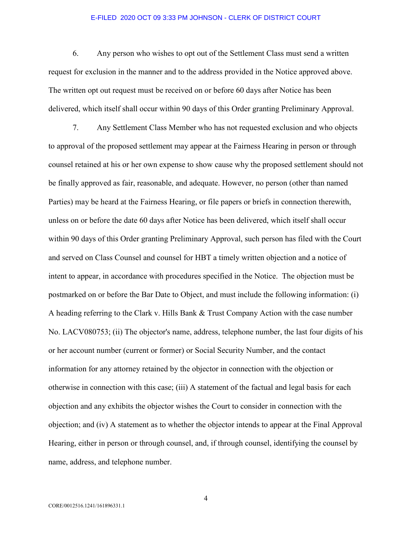6. Any person who wishes to opt out of the Settlement Class must send a written request for exclusion in the manner and to the address provided in the Notice approved above. The written opt out request must be received on or before 60 days after Notice has been delivered, which itself shall occur within 90 days of this Order granting Preliminary Approval.

 7. Any Settlement Class Member who has not requested exclusion and who objects to approval of the proposed settlement may appear at the Fairness Hearing in person or through counsel retained at his or her own expense to show cause why the proposed settlement should not be finally approved as fair, reasonable, and adequate. However, no person (other than named Parties) may be heard at the Fairness Hearing, or file papers or briefs in connection therewith, unless on or before the date 60 days after Notice has been delivered, which itself shall occur within 90 days of this Order granting Preliminary Approval, such person has filed with the Court and served on Class Counsel and counsel for HBT a timely written objection and a notice of intent to appear, in accordance with procedures specified in the Notice. The objection must be postmarked on or before the Bar Date to Object, and must include the following information: (i) A heading referring to the Clark v. Hills Bank & Trust Company Action with the case number No. LACV080753; (ii) The objector's name, address, telephone number, the last four digits of his or her account number (current or former) or Social Security Number, and the contact information for any attorney retained by the objector in connection with the objection or otherwise in connection with this case; (iii) A statement of the factual and legal basis for each objection and any exhibits the objector wishes the Court to consider in connection with the objection; and (iv) A statement as to whether the objector intends to appear at the Final Approval Hearing, either in person or through counsel, and, if through counsel, identifying the counsel by name, address, and telephone number.

4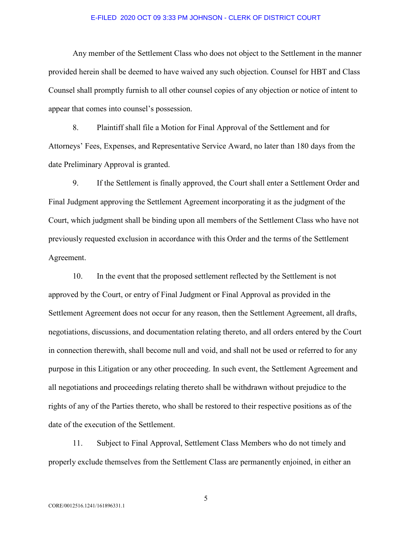Any member of the Settlement Class who does not object to the Settlement in the manner provided herein shall be deemed to have waived any such objection. Counsel for HBT and Class Counsel shall promptly furnish to all other counsel copies of any objection or notice of intent to appear that comes into counsel's possession.

8. Plaintiff shall file a Motion for Final Approval of the Settlement and for Attorneys' Fees, Expenses, and Representative Service Award, no later than 180 days from the date Preliminary Approval is granted.

9. If the Settlement is finally approved, the Court shall enter a Settlement Order and Final Judgment approving the Settlement Agreement incorporating it as the judgment of the Court, which judgment shall be binding upon all members of the Settlement Class who have not previously requested exclusion in accordance with this Order and the terms of the Settlement Agreement.

10. In the event that the proposed settlement reflected by the Settlement is not approved by the Court, or entry of Final Judgment or Final Approval as provided in the Settlement Agreement does not occur for any reason, then the Settlement Agreement, all drafts, negotiations, discussions, and documentation relating thereto, and all orders entered by the Court in connection therewith, shall become null and void, and shall not be used or referred to for any purpose in this Litigation or any other proceeding. In such event, the Settlement Agreement and all negotiations and proceedings relating thereto shall be withdrawn without prejudice to the rights of any of the Parties thereto, who shall be restored to their respective positions as of the date of the execution of the Settlement.

11. Subject to Final Approval, Settlement Class Members who do not timely and properly exclude themselves from the Settlement Class are permanently enjoined, in either an

5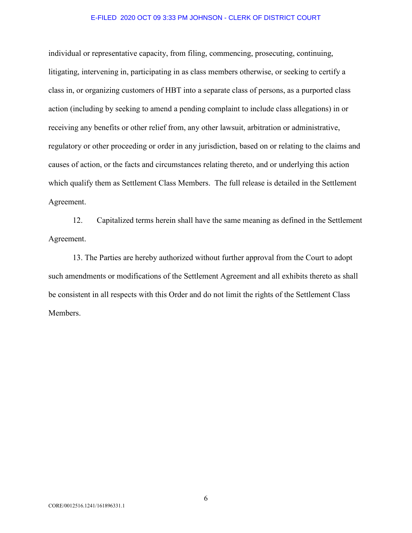individual or representative capacity, from filing, commencing, prosecuting, continuing, litigating, intervening in, participating in as class members otherwise, or seeking to certify a class in, or organizing customers of HBT into a separate class of persons, as a purported class action (including by seeking to amend a pending complaint to include class allegations) in or receiving any benefits or other relief from, any other lawsuit, arbitration or administrative, regulatory or other proceeding or order in any jurisdiction, based on or relating to the claims and causes of action, or the facts and circumstances relating thereto, and or underlying this action which qualify them as Settlement Class Members. The full release is detailed in the Settlement Agreement.

12. Capitalized terms herein shall have the same meaning as defined in the Settlement Agreement.

13. The Parties are hereby authorized without further approval from the Court to adopt such amendments or modifications of the Settlement Agreement and all exhibits thereto as shall be consistent in all respects with this Order and do not limit the rights of the Settlement Class Members.